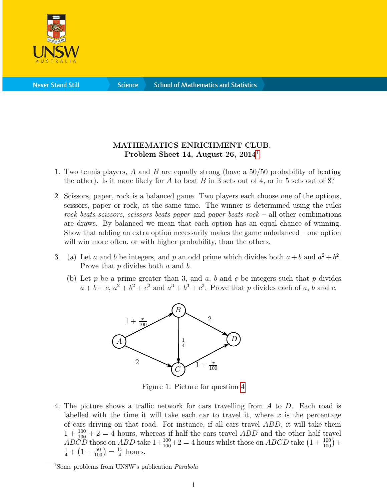

**Science** 

## MATHEMATICS ENRICHMENT CLUB. Problem Sheet [1](#page-0-0)4, August 26,  $2014<sup>1</sup>$

- 1. Two tennis players, A and B are equally strong (have a 50/50 probability of beating the other). Is it more likely for A to beat B in 3 sets out of 4, or in 5 sets out of 8?
- 2. Scissors, paper, rock is a balanced game. Two players each choose one of the options, scissors, paper or rock, at the same time. The winner is determined using the rules rock beats scissors, scissors beats paper and paper beats  $rock - all$  other combinations are draws. By balanced we mean that each option has an equal chance of winning. Show that adding an extra option necessarily makes the game unbalanced – one option will win more often, or with higher probability, than the others.
- <span id="page-0-1"></span>3. (a) Let a and b be integers, and p an odd prime which divides both  $a + b$  and  $a^2 + b^2$ . Prove that p divides both a and b.
	- (b) Let p be a prime greater than 3, and  $a, b$  and  $c$  be integers such that p divides  $a+b+c$ ,  $a^2+b^2+c^2$  and  $a^3+b^3+c^3$ . Prove that p divides each of a, b and c.



Figure 1: Picture for question [4](#page-0-1)

4. The picture shows a traffic network for cars travelling from A to D. Each road is labelled with the time it will take each car to travel it, where  $x$  is the percentage of cars driving on that road. For instance, if all cars travel ABD, it will take them  $1 + \frac{100}{100} + 2 = 4$  hours, whereas if half the cars travel ABD and the other half travel  $AB\ddot{C}D$  those on  $ABD$  take  $1+\frac{100}{100}+2=4$  hours whilst those on  $ABCD$  take  $(1+\frac{100}{100})+$  $\frac{1}{4} + (1 + \frac{50}{100}) = \frac{15}{4}$  $\frac{15}{4}$  hours.

<span id="page-0-0"></span><sup>&</sup>lt;sup>1</sup>Some problems from UNSW's publication *Parabola*